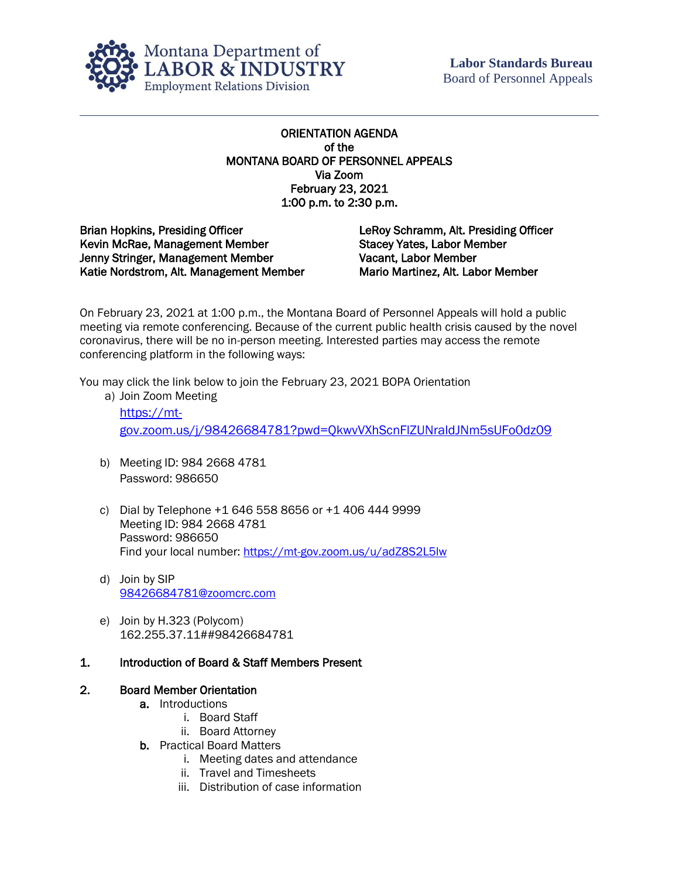

## ORIENTATION AGENDA of the MONTANA BOARD OF PERSONNEL APPEALS Via Zoom February 23, 2021 1:00 p.m. to 2:30 p.m.

Brian Hopkins, Presiding Officer Kevin McRae, Management Member Jenny Stringer, Management Member Katie Nordstrom, Alt. Management Member

LeRoy Schramm, Alt. Presiding Officer Stacey Yates, Labor Member Vacant, Labor Member Mario Martinez, Alt. Labor Member

On February 23, 2021 at 1:00 p.m., the Montana Board of Personnel Appeals will hold a public meeting via remote conferencing. Because of the current public health crisis caused by the novel coronavirus, there will be no in-person meeting. Interested parties may access the remote conferencing platform in the following ways:

You may click the link below to join the February 23, 2021 BOPA Orientation

- a) Join Zoom Meeting [https://mt](https://mt-gov.zoom.us/j/98426684781?pwd=QkwvVXhScnFlZUNraldJNm5sUFo0dz09)[gov.zoom.us/j/98426684781?pwd=QkwvVXhScnFlZUNraldJNm5sUFo0dz09](https://mt-gov.zoom.us/j/98426684781?pwd=QkwvVXhScnFlZUNraldJNm5sUFo0dz09)
- b) Meeting ID: 984 2668 4781 Password: 986650
- c) Dial by Telephone +1 646 558 8656 or +1 406 444 9999 Meeting ID: 984 2668 4781 Password: 986650 Find your local number:<https://mt-gov.zoom.us/u/adZ8S2L5lw>
- d) Join by SIP [98426684781@zoomcrc.com](mailto:98426684781@zoomcrc.com)
- e) Join by H.323 (Polycom) 162.255.37.11##98426684781

## 1. Introduction of Board & Staff Members Present

## 2. Board Member Orientation

- a. Introductions
	- i. Board Staff
	- ii. Board Attorney
- b. Practical Board Matters
	- i. Meeting dates and attendance
	- ii. Travel and Timesheets
	- iii. Distribution of case information